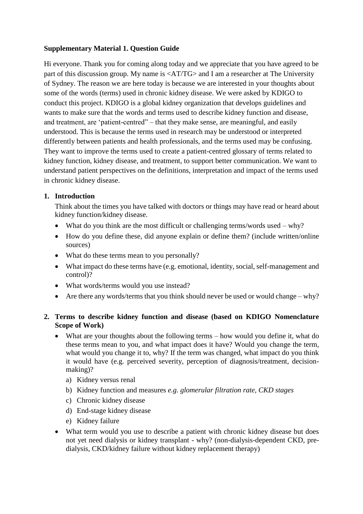## **Supplementary Material 1. Question Guide**

Hi everyone. Thank you for coming along today and we appreciate that you have agreed to be part of this discussion group. My name is <AT/TG> and I am a researcher at The University of Sydney. The reason we are here today is because we are interested in your thoughts about some of the words (terms) used in chronic kidney disease. We were asked by KDIGO to conduct this project. KDIGO is a global kidney organization that develops guidelines and wants to make sure that the words and terms used to describe kidney function and disease, and treatment, are 'patient-centred" – that they make sense, are meaningful, and easily understood. This is because the terms used in research may be understood or interpreted differently between patients and health professionals, and the terms used may be confusing. They want to improve the terms used to create a patient-centred glossary of terms related to kidney function, kidney disease, and treatment, to support better communication. We want to understand patient perspectives on the definitions, interpretation and impact of the terms used in chronic kidney disease.

## **1. Introduction**

Think about the times you have talked with doctors or things may have read or heard about kidney function/kidney disease.

- What do you think are the most difficult or challenging terms/words used why?
- How do you define these, did anyone explain or define them? (include written/online sources)
- What do these terms mean to you personally?
- What impact do these terms have (e.g. emotional, identity, social, self-management and control)?
- What words/terms would you use instead?
- Are there any words/terms that you think should never be used or would change why?

## **2. Terms to describe kidney function and disease (based on KDIGO Nomenclature Scope of Work)**

- What are your thoughts about the following terms how would you define it, what do these terms mean to you, and what impact does it have? Would you change the term, what would you change it to, why? If the term was changed, what impact do you think it would have (e.g. perceived severity, perception of diagnosis/treatment, decisionmaking)?
	- a) Kidney versus renal
	- b) Kidney function and measures *e.g. glomerular filtration rate, CKD stages*
	- c) Chronic kidney disease
	- d) End-stage kidney disease
	- e) Kidney failure
- What term would you use to describe a patient with chronic kidney disease but does not yet need dialysis or kidney transplant - why? (non-dialysis-dependent CKD, predialysis, CKD/kidney failure without kidney replacement therapy)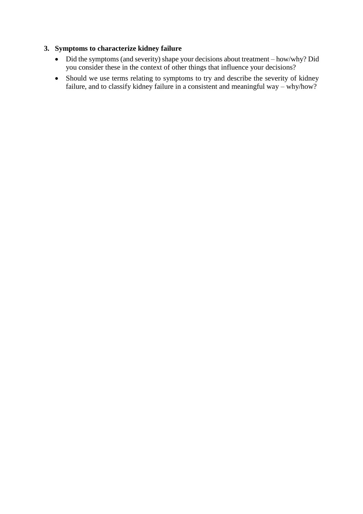## **3. Symptoms to characterize kidney failure**

- Did the symptoms (and severity) shape your decisions about treatment how/why? Did you consider these in the context of other things that influence your decisions?
- Should we use terms relating to symptoms to try and describe the severity of kidney failure, and to classify kidney failure in a consistent and meaningful way – why/how?